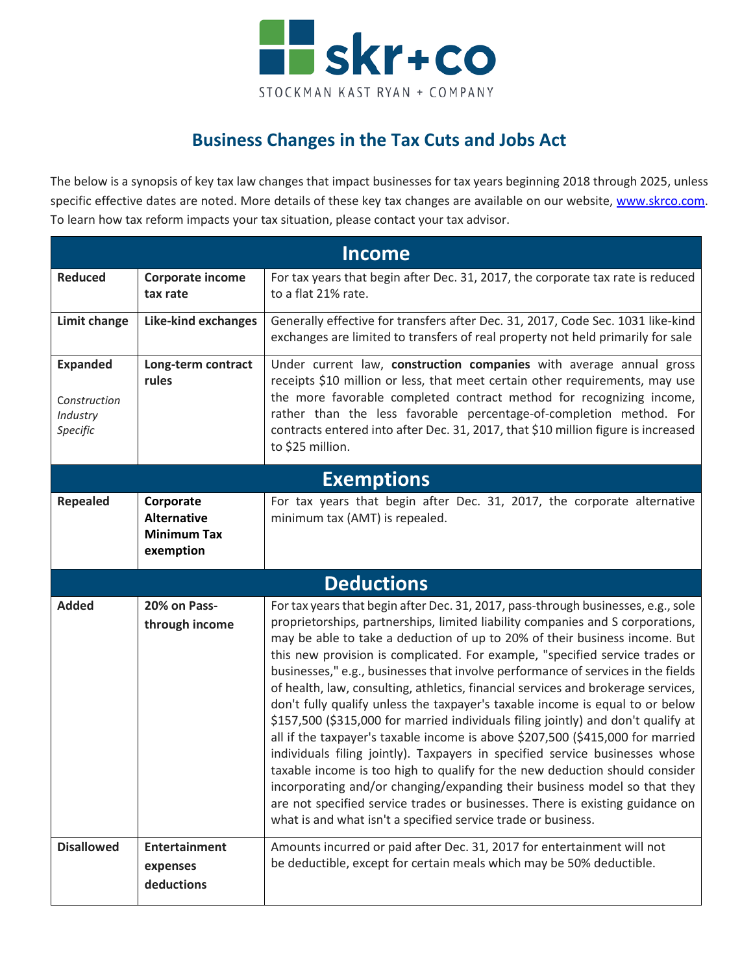

## **Business Changes in the Tax Cuts and Jobs Act**

The below is a synopsis of key tax law changes that impact businesses for tax years beginning 2018 through 2025, unless specific effective dates are noted. More details of these key tax changes are available on our website, [www.skrco.com.](http://www.skrco.com/) To learn how tax reform impacts your tax situation, please contact your tax advisor.

| <b>Income</b>                                           |                                                                    |                                                                                                                                                                                                                                                                                                                                                                                                                                                                                                                                                                                                                                                                                                                                                                                                                                                                                                                                                                                                                                                                                                                                                                  |  |
|---------------------------------------------------------|--------------------------------------------------------------------|------------------------------------------------------------------------------------------------------------------------------------------------------------------------------------------------------------------------------------------------------------------------------------------------------------------------------------------------------------------------------------------------------------------------------------------------------------------------------------------------------------------------------------------------------------------------------------------------------------------------------------------------------------------------------------------------------------------------------------------------------------------------------------------------------------------------------------------------------------------------------------------------------------------------------------------------------------------------------------------------------------------------------------------------------------------------------------------------------------------------------------------------------------------|--|
| <b>Reduced</b>                                          | Corporate income<br>tax rate                                       | For tax years that begin after Dec. 31, 2017, the corporate tax rate is reduced<br>to a flat 21% rate.                                                                                                                                                                                                                                                                                                                                                                                                                                                                                                                                                                                                                                                                                                                                                                                                                                                                                                                                                                                                                                                           |  |
| Limit change                                            | <b>Like-kind exchanges</b>                                         | Generally effective for transfers after Dec. 31, 2017, Code Sec. 1031 like-kind<br>exchanges are limited to transfers of real property not held primarily for sale                                                                                                                                                                                                                                                                                                                                                                                                                                                                                                                                                                                                                                                                                                                                                                                                                                                                                                                                                                                               |  |
| <b>Expanded</b><br>Construction<br>Industry<br>Specific | Long-term contract<br>rules                                        | Under current law, construction companies with average annual gross<br>receipts \$10 million or less, that meet certain other requirements, may use<br>the more favorable completed contract method for recognizing income,<br>rather than the less favorable percentage-of-completion method. For<br>contracts entered into after Dec. 31, 2017, that \$10 million figure is increased<br>to \$25 million.                                                                                                                                                                                                                                                                                                                                                                                                                                                                                                                                                                                                                                                                                                                                                      |  |
| <b>Exemptions</b>                                       |                                                                    |                                                                                                                                                                                                                                                                                                                                                                                                                                                                                                                                                                                                                                                                                                                                                                                                                                                                                                                                                                                                                                                                                                                                                                  |  |
| <b>Repealed</b>                                         | Corporate<br><b>Alternative</b><br><b>Minimum Tax</b><br>exemption | For tax years that begin after Dec. 31, 2017, the corporate alternative<br>minimum tax (AMT) is repealed.                                                                                                                                                                                                                                                                                                                                                                                                                                                                                                                                                                                                                                                                                                                                                                                                                                                                                                                                                                                                                                                        |  |
| <b>Deductions</b>                                       |                                                                    |                                                                                                                                                                                                                                                                                                                                                                                                                                                                                                                                                                                                                                                                                                                                                                                                                                                                                                                                                                                                                                                                                                                                                                  |  |
| <b>Added</b>                                            | 20% on Pass-<br>through income                                     | For tax years that begin after Dec. 31, 2017, pass-through businesses, e.g., sole<br>proprietorships, partnerships, limited liability companies and S corporations,<br>may be able to take a deduction of up to 20% of their business income. But<br>this new provision is complicated. For example, "specified service trades or<br>businesses," e.g., businesses that involve performance of services in the fields<br>of health, law, consulting, athletics, financial services and brokerage services,<br>don't fully qualify unless the taxpayer's taxable income is equal to or below<br>\$157,500 (\$315,000 for married individuals filing jointly) and don't qualify at<br>all if the taxpayer's taxable income is above \$207,500 (\$415,000 for married<br>individuals filing jointly). Taxpayers in specified service businesses whose<br>taxable income is too high to qualify for the new deduction should consider<br>incorporating and/or changing/expanding their business model so that they<br>are not specified service trades or businesses. There is existing guidance on<br>what is and what isn't a specified service trade or business. |  |
| <b>Disallowed</b>                                       | <b>Entertainment</b><br>expenses<br>deductions                     | Amounts incurred or paid after Dec. 31, 2017 for entertainment will not<br>be deductible, except for certain meals which may be 50% deductible.                                                                                                                                                                                                                                                                                                                                                                                                                                                                                                                                                                                                                                                                                                                                                                                                                                                                                                                                                                                                                  |  |